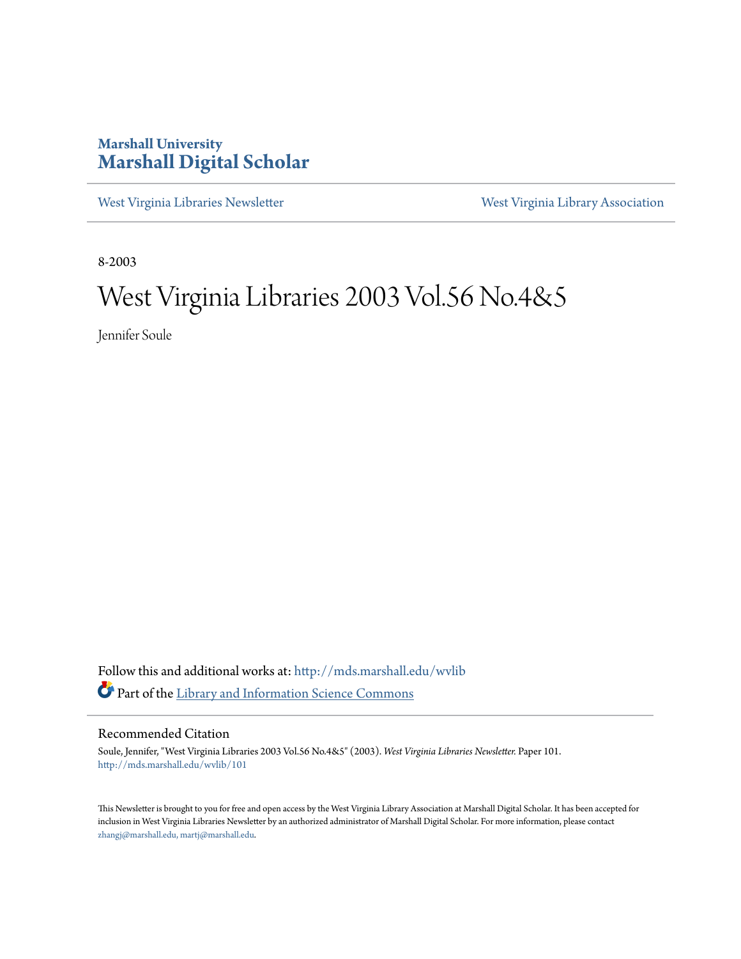### **Marshall University [Marshall Digital Scholar](http://mds.marshall.edu?utm_source=mds.marshall.edu%2Fwvlib%2F101&utm_medium=PDF&utm_campaign=PDFCoverPages)**

[West Virginia Libraries Newsletter](http://mds.marshall.edu/wvlib?utm_source=mds.marshall.edu%2Fwvlib%2F101&utm_medium=PDF&utm_campaign=PDFCoverPages) [West Virginia Library Association](http://mds.marshall.edu/wvla?utm_source=mds.marshall.edu%2Fwvlib%2F101&utm_medium=PDF&utm_campaign=PDFCoverPages)

8-2003

## West Virginia Libraries 2003 Vol.56 No.4&5

Jennifer Soule

Follow this and additional works at: [http://mds.marshall.edu/wvlib](http://mds.marshall.edu/wvlib?utm_source=mds.marshall.edu%2Fwvlib%2F101&utm_medium=PDF&utm_campaign=PDFCoverPages) Part of the [Library and Information Science Commons](http://network.bepress.com/hgg/discipline/1018?utm_source=mds.marshall.edu%2Fwvlib%2F101&utm_medium=PDF&utm_campaign=PDFCoverPages)

#### Recommended Citation

Soule, Jennifer, "West Virginia Libraries 2003 Vol.56 No.4&5" (2003). *West Virginia Libraries Newsletter.* Paper 101. [http://mds.marshall.edu/wvlib/101](http://mds.marshall.edu/wvlib/101?utm_source=mds.marshall.edu%2Fwvlib%2F101&utm_medium=PDF&utm_campaign=PDFCoverPages)

This Newsletter is brought to you for free and open access by the West Virginia Library Association at Marshall Digital Scholar. It has been accepted for inclusion in West Virginia Libraries Newsletter by an authorized administrator of Marshall Digital Scholar. For more information, please contact [zhangj@marshall.edu, martj@marshall.edu](mailto:zhangj@marshall.edu,%20martj@marshall.edu).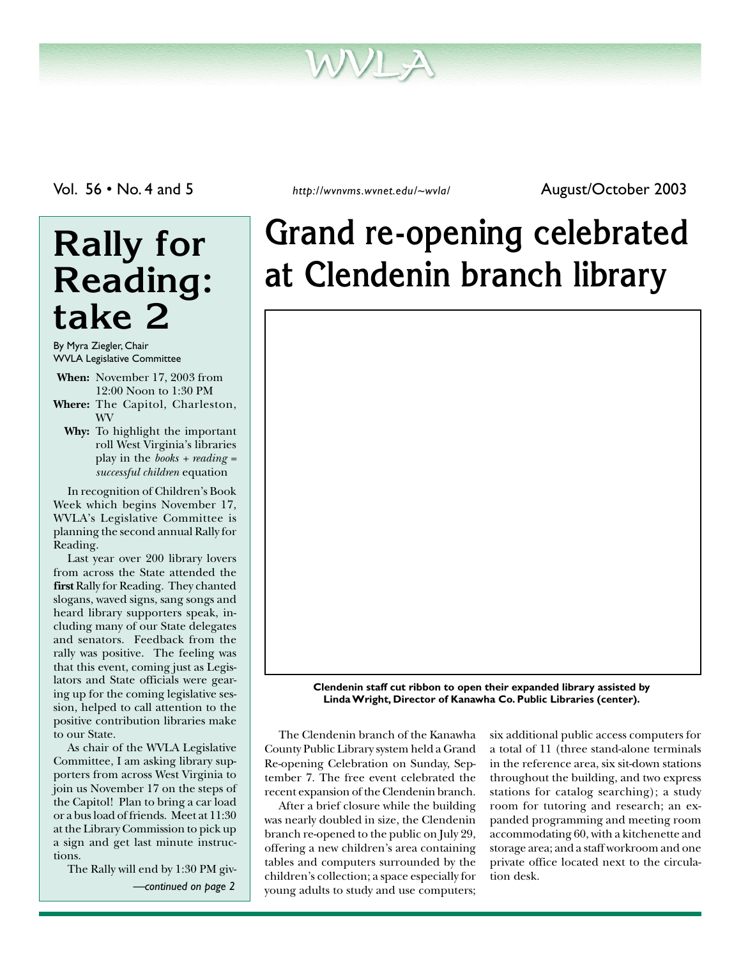# **Reading: take 2**

By Myra Ziegler, Chair WVLA Legislative Committee

- **When:** November 17, 2003 from 12:00 Noon to 1:30 PM
- **Where:** The Capitol, Charleston, WV
	- **Why:** To highlight the important roll West Virginia's libraries play in the *books + reading = successful children* equation

In recognition of Children's Book Week which begins November 17, WVLA's Legislative Committee is planning the second annual Rally for Reading.

Last year over 200 library lovers from across the State attended the **first** Rally for Reading. They chanted slogans, waved signs, sang songs and heard library supporters speak, including many of our State delegates and senators. Feedback from the rally was positive. The feeling was that this event, coming just as Legislators and State officials were gearing up for the coming legislative session, helped to call attention to the positive contribution libraries make to our State.

As chair of the WVLA Legislative Committee, I am asking library supporters from across West Virginia to join us November 17 on the steps of the Capitol! Plan to bring a car load or a bus load of friends. Meet at 11:30 at the Library Commission to pick up a sign and get last minute instructions.

The Rally will end by 1:30 PM giv- *—continued on page 2*

Vol. 56 • No. 4 and 5 *http://wvnvms.wvnet.edu/~wvla/* August/October 2003

## **Grand re-opening celebrated Rally for Grand re-opening celebrate**<br>**Reading:** at Clendenin branch library



**Clendenin staff cut ribbon to open their expanded library assisted by Linda Wright, Director of Kanawha Co. Public Libraries (center).**

The Clendenin branch of the Kanawha County Public Library system held a Grand Re-opening Celebration on Sunday, September 7. The free event celebrated the recent expansion of the Clendenin branch.

After a brief closure while the building was nearly doubled in size, the Clendenin branch re-opened to the public on July 29, offering a new children's area containing tables and computers surrounded by the children's collection; a space especially for young adults to study and use computers;

six additional public access computers for a total of 11 (three stand-alone terminals in the reference area, six sit-down stations throughout the building, and two express stations for catalog searching); a study room for tutoring and research; an expanded programming and meeting room accommodating 60, with a kitchenette and storage area; and a staff workroom and one private office located next to the circulation desk.

1 August/October 2003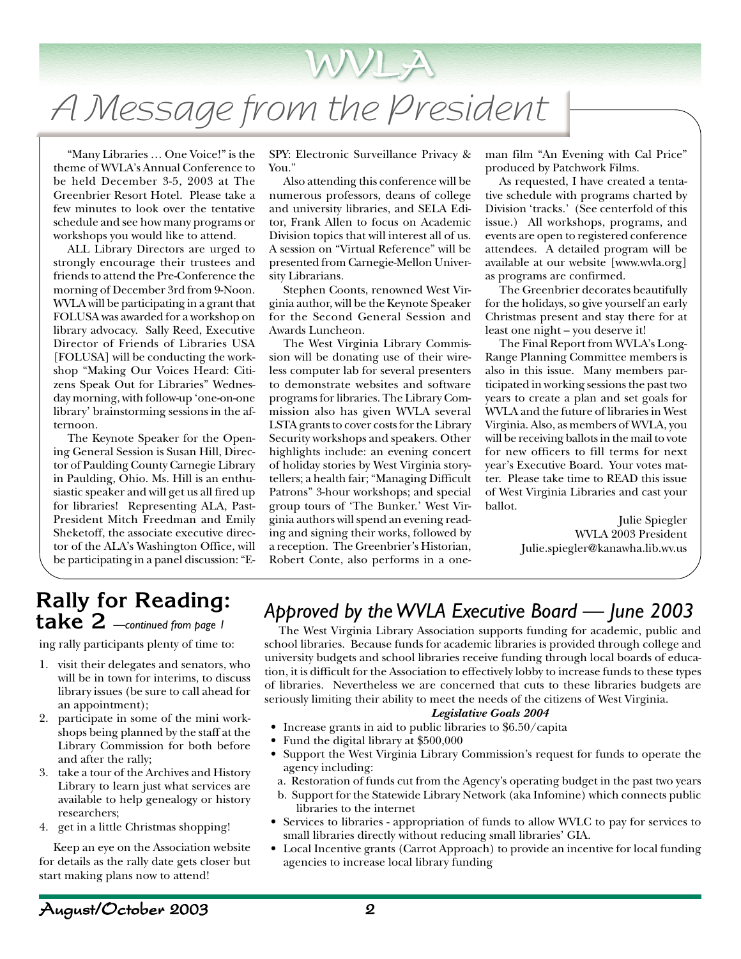

"Many Libraries … One Voice!" is the theme of WVLA's Annual Conference to be held December 3-5, 2003 at The Greenbrier Resort Hotel. Please take a few minutes to look over the tentative schedule and see how many programs or workshops you would like to attend.

ALL Library Directors are urged to strongly encourage their trustees and friends to attend the Pre-Conference the morning of December 3rd from 9-Noon. WVLA will be participating in a grant that FOLUSA was awarded for a workshop on library advocacy. Sally Reed, Executive Director of Friends of Libraries USA [FOLUSA] will be conducting the workshop "Making Our Voices Heard: Citizens Speak Out for Libraries" Wednesday morning, with follow-up 'one-on-one library' brainstorming sessions in the afternoon.

The Keynote Speaker for the Opening General Session is Susan Hill, Director of Paulding County Carnegie Library in Paulding, Ohio. Ms. Hill is an enthusiastic speaker and will get us all fired up for libraries! Representing ALA, Past-President Mitch Freedman and Emily Sheketoff, the associate executive director of the ALA's Washington Office, will be participating in a panel discussion: "E- SPY: Electronic Surveillance Privacy & You."

Also attending this conference will be numerous professors, deans of college and university libraries, and SELA Editor, Frank Allen to focus on Academic Division topics that will interest all of us. A session on "Virtual Reference" will be presented from Carnegie-Mellon University Librarians.

Stephen Coonts, renowned West Virginia author, will be the Keynote Speaker for the Second General Session and Awards Luncheon.

The West Virginia Library Commission will be donating use of their wireless computer lab for several presenters to demonstrate websites and software programs for libraries. The Library Commission also has given WVLA several LSTA grants to cover costs for the Library Security workshops and speakers. Other highlights include: an evening concert of holiday stories by West Virginia storytellers; a health fair; "Managing Difficult Patrons" 3-hour workshops; and special group tours of 'The Bunker.' West Virginia authors will spend an evening reading and signing their works, followed by a reception. The Greenbrier's Historian, Robert Conte, also performs in a oneman film "An Evening with Cal Price" produced by Patchwork Films.

As requested, I have created a tentative schedule with programs charted by Division 'tracks.' (See centerfold of this issue.) All workshops, programs, and events are open to registered conference attendees. A detailed program will be available at our website [www.wvla.org] as programs are confirmed.

The Greenbrier decorates beautifully for the holidays, so give yourself an early Christmas present and stay there for at least one night – you deserve it!

The Final Report from WVLA's Long-Range Planning Committee members is also in this issue. Many members participated in working sessions the past two years to create a plan and set goals for WVLA and the future of libraries in West Virginia. Also, as members of WVLA, you will be receiving ballots in the mail to vote for new officers to fill terms for next year's Executive Board. Your votes matter. Please take time to READ this issue of West Virginia Libraries and cast your ballot.

> Julie Spiegler WVLA 2003 President Julie.spiegler@kanawha.lib.wv.us

### **Rally for Reading: take 2** *—continued from page 1*

ing rally participants plenty of time to:

- 1. visit their delegates and senators, who will be in town for interims, to discuss library issues (be sure to call ahead for an appointment);
- 2. participate in some of the mini workshops being planned by the staff at the Library Commission for both before and after the rally;
- 3. take a tour of the Archives and History Library to learn just what services are available to help genealogy or history researchers;
- 4. get in a little Christmas shopping!

Keep an eye on the Association website for details as the rally date gets closer but start making plans now to attend!

### *Approved by the WVLA Executive Board — June 2003*

The West Virginia Library Association supports funding for academic, public and school libraries. Because funds for academic libraries is provided through college and university budgets and school libraries receive funding through local boards of education, it is difficult for the Association to effectively lobby to increase funds to these types of libraries. Nevertheless we are concerned that cuts to these libraries budgets are seriously limiting their ability to meet the needs of the citizens of West Virginia.

#### *Legislative Goals 2004*

- Increase grants in aid to public libraries to \$6.50/capita
- Fund the digital library at \$500,000
- Support the West Virginia Library Commission's request for funds to operate the agency including:
- a. Restoration of funds cut from the Agency's operating budget in the past two years
- b. Support for the Statewide Library Network (aka Infomine) which connects public libraries to the internet
- Services to libraries appropriation of funds to allow WVLC to pay for services to small libraries directly without reducing small libraries' GIA.
- Local Incentive grants (Carrot Approach) to provide an incentive for local funding agencies to increase local library funding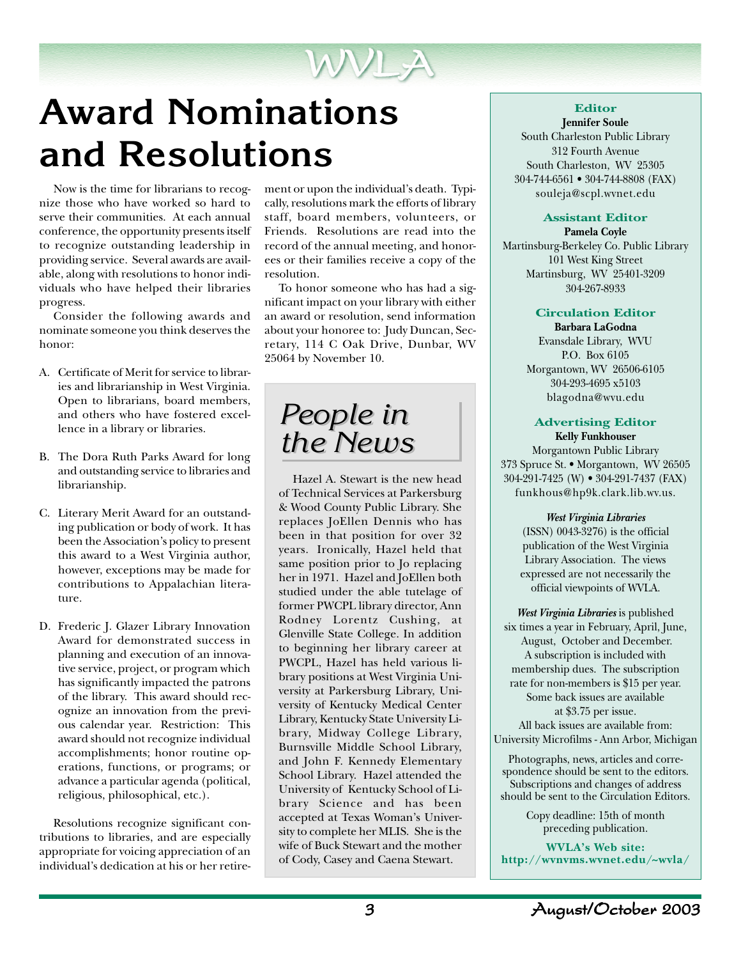

## **Award Nominations and Resolutions**

Now is the time for librarians to recognize those who have worked so hard to serve their communities. At each annual conference, the opportunity presents itself to recognize outstanding leadership in providing service. Several awards are available, along with resolutions to honor individuals who have helped their libraries progress.

Consider the following awards and nominate someone you think deserves the honor:

- A. Certificate of Merit for service to libraries and librarianship in West Virginia. Open to librarians, board members, and others who have fostered excellence in a library or libraries.
- B. The Dora Ruth Parks Award for long and outstanding service to libraries and librarianship.
- C. Literary Merit Award for an outstanding publication or body of work. It has been the Association's policy to present this award to a West Virginia author, however, exceptions may be made for contributions to Appalachian literature.
- D. Frederic J. Glazer Library Innovation Award for demonstrated success in planning and execution of an innovative service, project, or program which has significantly impacted the patrons of the library. This award should recognize an innovation from the previous calendar year. Restriction: This award should not recognize individual accomplishments; honor routine operations, functions, or programs; or advance a particular agenda (political, religious, philosophical, etc.).

Resolutions recognize significant contributions to libraries, and are especially appropriate for voicing appreciation of an individual's dedication at his or her retirement or upon the individual's death. Typically, resolutions mark the efforts of library staff, board members, volunteers, or Friends. Resolutions are read into the record of the annual meeting, and honorees or their families receive a copy of the resolution.

To honor someone who has had a significant impact on your library with either an award or resolution, send information about your honoree to: Judy Duncan, Secretary, 114 C Oak Drive, Dunbar, WV 25064 by November 10.

## *People in People in the News the News*

Hazel A. Stewart is the new head of Technical Services at Parkersburg & Wood County Public Library. She replaces JoEllen Dennis who has been in that position for over 32 years. Ironically, Hazel held that same position prior to Jo replacing her in 1971. Hazel and JoEllen both studied under the able tutelage of former PWCPL library director, Ann Rodney Lorentz Cushing, at Glenville State College. In addition to beginning her library career at PWCPL, Hazel has held various library positions at West Virginia University at Parkersburg Library, University of Kentucky Medical Center Library, Kentucky State University Library, Midway College Library, Burnsville Middle School Library, and John F. Kennedy Elementary School Library. Hazel attended the University of Kentucky School of Library Science and has been accepted at Texas Woman's University to complete her MLIS. She is the wife of Buck Stewart and the mother of Cody, Casey and Caena Stewart.

#### **Editor**

**Jennifer Soule** South Charleston Public Library 312 Fourth Avenue South Charleston, WV 25305 304-744-6561 • 304-744-8808 (FAX) souleja@scpl.wvnet.edu

#### **Assistant Editor**

**Pamela Coyle** Martinsburg-Berkeley Co. Public Library 101 West King Street Martinsburg, WV 25401-3209 304-267-8933

#### **Circulation Editor Barbara LaGodna**

Evansdale Library, WVU P.O. Box 6105 Morgantown, WV 26506-6105 304-293-4695 x5103 blagodna@wvu.edu

#### **Advertising Editor**

**Kelly Funkhouser** Morgantown Public Library 373 Spruce St. • Morgantown, WV 26505 304-291-7425 (W) • 304-291-7437 (FAX) funkhous@hp9k.clark.lib.wv.us.

> *West Virginia Libraries* (ISSN) 0043-3276) is the official publication of the West Virginia Library Association. The views expressed are not necessarily the official viewpoints of WVLA.

*West Virginia Libraries* is published six times a year in February, April, June, August, October and December. A subscription is included with membership dues. The subscription rate for non-members is \$15 per year. Some back issues are available at \$3.75 per issue. All back issues are available from:

University Microfilms - Ann Arbor, Michigan

Photographs, news, articles and correspondence should be sent to the editors. Subscriptions and changes of address should be sent to the Circulation Editors.

> Copy deadline: 15th of month preceding publication.

**WVLA's Web site: http://wvnvms.wvnet.edu/~wvla/**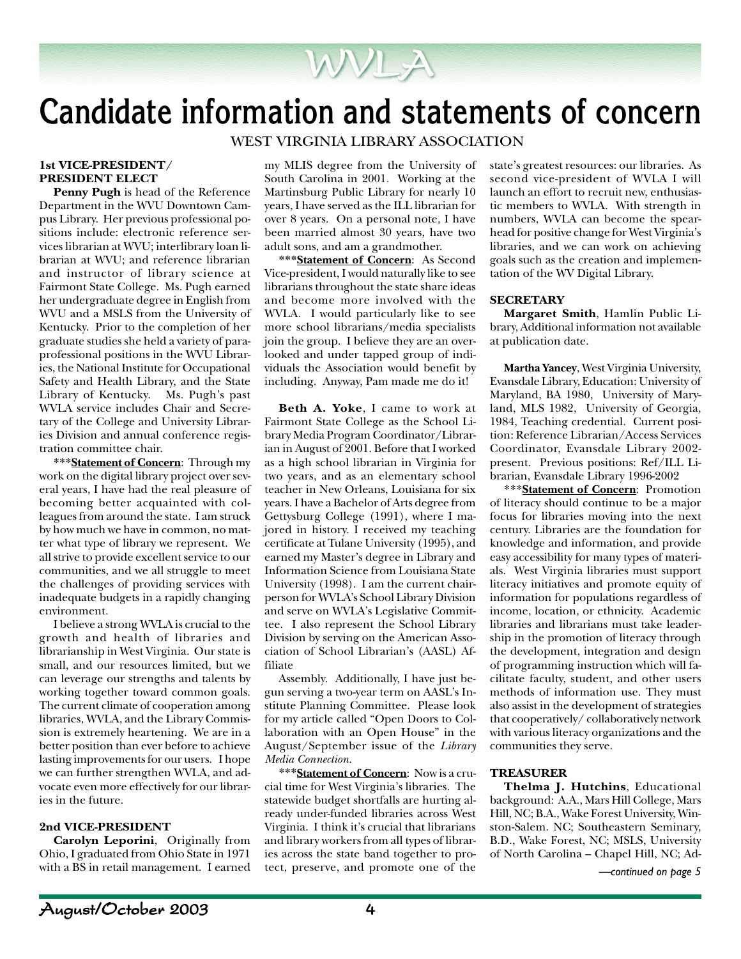

## **Candidate information and statements of concern**

#### WEST VIRGINIA LIBRARY ASSOCIATION

#### **1st VICE-PRESIDENT/ PRESIDENT ELECT**

**Penny Pugh** is head of the Reference Department in the WVU Downtown Campus Library. Her previous professional positions include: electronic reference services librarian at WVU; interlibrary loan librarian at WVU; and reference librarian and instructor of library science at Fairmont State College. Ms. Pugh earned her undergraduate degree in English from WVU and a MSLS from the University of Kentucky. Prior to the completion of her graduate studies she held a variety of paraprofessional positions in the WVU Libraries, the National Institute for Occupational Safety and Health Library, and the State Library of Kentucky. Ms. Pugh's past WVLA service includes Chair and Secretary of the College and University Libraries Division and annual conference registration committee chair.

**\*\*\*Statement of Concern**: Through my work on the digital library project over several years, I have had the real pleasure of becoming better acquainted with colleagues from around the state. I am struck by how much we have in common, no matter what type of library we represent. We all strive to provide excellent service to our communities, and we all struggle to meet the challenges of providing services with inadequate budgets in a rapidly changing environment.

I believe a strong WVLA is crucial to the growth and health of libraries and librarianship in West Virginia. Our state is small, and our resources limited, but we can leverage our strengths and talents by working together toward common goals. The current climate of cooperation among libraries, WVLA, and the Library Commission is extremely heartening. We are in a better position than ever before to achieve lasting improvements for our users. I hope we can further strengthen WVLA, and advocate even more effectively for our libraries in the future.

#### **2nd VICE-PRESIDENT**

**Carolyn Leporini**, Originally from Ohio, I graduated from Ohio State in 1971 with a BS in retail management. I earned my MLIS degree from the University of South Carolina in 2001. Working at the Martinsburg Public Library for nearly 10 years, I have served as the ILL librarian for over 8 years. On a personal note, I have been married almost 30 years, have two adult sons, and am a grandmother.

**\*\*\*Statement of Concern**: As Second Vice-president, I would naturally like to see librarians throughout the state share ideas and become more involved with the WVLA. I would particularly like to see more school librarians/media specialists join the group. I believe they are an overlooked and under tapped group of individuals the Association would benefit by including. Anyway, Pam made me do it!

**Beth A. Yoke**, I came to work at Fairmont State College as the School Library Media Program Coordinator/Librarian in August of 2001. Before that I worked as a high school librarian in Virginia for two years, and as an elementary school teacher in New Orleans, Louisiana for six years. I have a Bachelor of Arts degree from Gettysburg College (1991), where I majored in history. I received my teaching certificate at Tulane University (1995), and earned my Master's degree in Library and Information Science from Louisiana State University (1998). I am the current chairperson for WVLA's School Library Division and serve on WVLA's Legislative Committee. I also represent the School Library Division by serving on the American Association of School Librarian's (AASL) Affiliate

Assembly. Additionally, I have just begun serving a two-year term on AASL's Institute Planning Committee. Please look for my article called "Open Doors to Collaboration with an Open House" in the August/September issue of the *Library Media Connection.*

**\*\*\*Statement of Concern**: Now is a crucial time for West Virginia's libraries. The statewide budget shortfalls are hurting already under-funded libraries across West Virginia. I think it's crucial that librarians and library workers from all types of libraries across the state band together to protect, preserve, and promote one of the

state's greatest resources: our libraries. As second vice-president of WVLA I will launch an effort to recruit new, enthusiastic members to WVLA. With strength in numbers, WVLA can become the spearhead for positive change for West Virginia's libraries, and we can work on achieving goals such as the creation and implementation of the WV Digital Library.

#### **SECRETARY**

**Margaret Smith**, Hamlin Public Library, Additional information not available at publication date.

**Martha Yancey**, West Virginia University, Evansdale Library, Education: University of Maryland, BA 1980, University of Maryland, MLS 1982, University of Georgia, 1984, Teaching credential. Current position: Reference Librarian/Access Services Coordinator, Evansdale Library 2002 present. Previous positions: Ref/ILL Librarian, Evansdale Library 1996-2002

**\*\*\*Statement of Concern**: Promotion of literacy should continue to be a major focus for libraries moving into the next century. Libraries are the foundation for knowledge and information, and provide easy accessibility for many types of materials. West Virginia libraries must support literacy initiatives and promote equity of information for populations regardless of income, location, or ethnicity. Academic libraries and librarians must take leadership in the promotion of literacy through the development, integration and design of programming instruction which will facilitate faculty, student, and other users methods of information use. They must also assist in the development of strategies that cooperatively/ collaboratively network with various literacy organizations and the communities they serve.

#### **TREASURER**

**Thelma J. Hutchins**, Educational background: A.A., Mars Hill College, Mars Hill, NC; B.A., Wake Forest University, Winston-Salem. NC; Southeastern Seminary, B.D., Wake Forest, NC; MSLS, University of North Carolina – Chapel Hill, NC; Ad-

*—continued on page 5*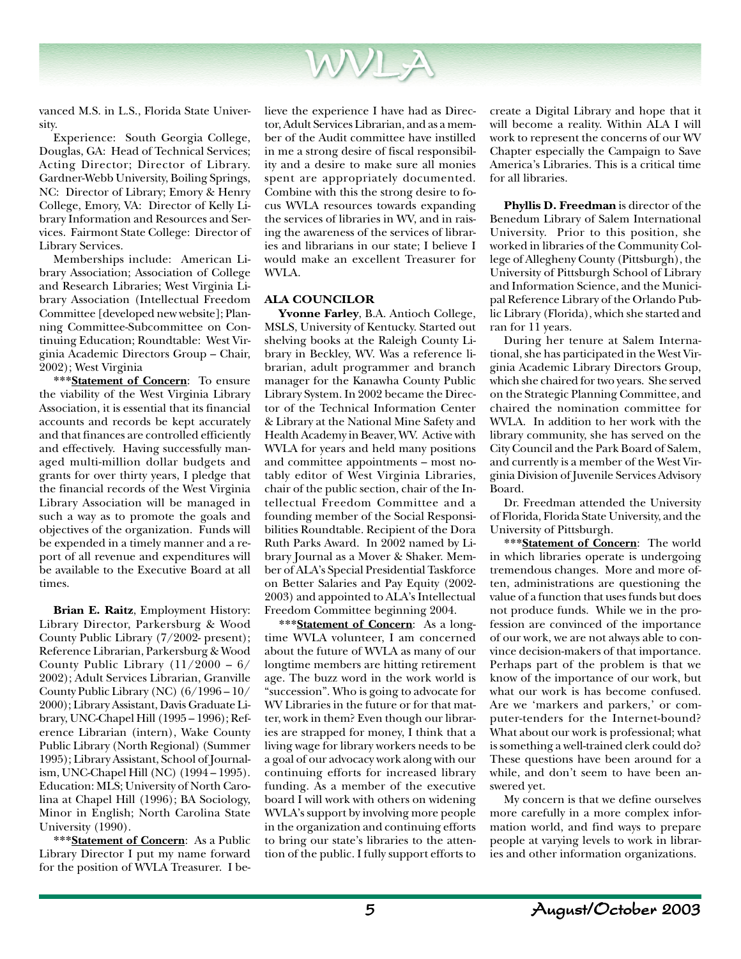

vanced M.S. in L.S., Florida State University.

Experience: South Georgia College, Douglas, GA: Head of Technical Services; Acting Director; Director of Library. Gardner-Webb University, Boiling Springs, NC: Director of Library; Emory & Henry College, Emory, VA: Director of Kelly Library Information and Resources and Services. Fairmont State College: Director of Library Services.

Memberships include: American Library Association; Association of College and Research Libraries; West Virginia Library Association (Intellectual Freedom Committee [developed new website]; Planning Committee-Subcommittee on Continuing Education; Roundtable: West Virginia Academic Directors Group – Chair, 2002); West Virginia

**\*\*\*Statement of Concern**: To ensure the viability of the West Virginia Library Association, it is essential that its financial accounts and records be kept accurately and that finances are controlled efficiently and effectively. Having successfully managed multi-million dollar budgets and grants for over thirty years, I pledge that the financial records of the West Virginia Library Association will be managed in such a way as to promote the goals and objectives of the organization. Funds will be expended in a timely manner and a report of all revenue and expenditures will be available to the Executive Board at all times.

**Brian E. Raitz**, Employment History: Library Director, Parkersburg & Wood County Public Library (7/2002- present); Reference Librarian, Parkersburg & Wood County Public Library  $(11/2000 - 6/$ 2002); Adult Services Librarian, Granville County Public Library (NC) (6/1996 – 10/ 2000); Library Assistant, Davis Graduate Library, UNC-Chapel Hill (1995 – 1996); Reference Librarian (intern), Wake County Public Library (North Regional) (Summer 1995); Library Assistant, School of Journalism, UNC-Chapel Hill (NC) (1994 – 1995). Education: MLS; University of North Carolina at Chapel Hill (1996); BA Sociology, Minor in English; North Carolina State University (1990).

**\*\*\*Statement of Concern**: As a Public Library Director I put my name forward for the position of WVLA Treasurer. I believe the experience I have had as Director, Adult Services Librarian, and as a member of the Audit committee have instilled in me a strong desire of fiscal responsibility and a desire to make sure all monies spent are appropriately documented. Combine with this the strong desire to focus WVLA resources towards expanding the services of libraries in WV, and in raising the awareness of the services of libraries and librarians in our state; I believe I would make an excellent Treasurer for WVLA.

#### **ALA COUNCILOR**

**Yvonne Farley**, B.A. Antioch College, MSLS, University of Kentucky. Started out shelving books at the Raleigh County Library in Beckley, WV. Was a reference librarian, adult programmer and branch manager for the Kanawha County Public Library System. In 2002 became the Director of the Technical Information Center & Library at the National Mine Safety and Health Academy in Beaver, WV. Active with WVLA for years and held many positions and committee appointments – most notably editor of West Virginia Libraries, chair of the public section, chair of the Intellectual Freedom Committee and a founding member of the Social Responsibilities Roundtable. Recipient of the Dora Ruth Parks Award. In 2002 named by Library Journal as a Mover & Shaker. Member of ALA's Special Presidential Taskforce on Better Salaries and Pay Equity (2002- 2003) and appointed to ALA's Intellectual Freedom Committee beginning 2004.

**\*\*\*Statement of Concern**: As a longtime WVLA volunteer, I am concerned about the future of WVLA as many of our longtime members are hitting retirement age. The buzz word in the work world is "succession". Who is going to advocate for WV Libraries in the future or for that matter, work in them? Even though our libraries are strapped for money, I think that a living wage for library workers needs to be a goal of our advocacy work along with our continuing efforts for increased library funding. As a member of the executive board I will work with others on widening WVLA's support by involving more people in the organization and continuing efforts to bring our state's libraries to the attention of the public. I fully support efforts to

create a Digital Library and hope that it will become a reality. Within ALA I will work to represent the concerns of our WV Chapter especially the Campaign to Save America's Libraries. This is a critical time for all libraries.

**Phyllis D. Freedman** is director of the Benedum Library of Salem International University. Prior to this position, she worked in libraries of the Community College of Allegheny County (Pittsburgh), the University of Pittsburgh School of Library and Information Science, and the Municipal Reference Library of the Orlando Public Library (Florida), which she started and ran for 11 years.

During her tenure at Salem International, she has participated in the West Virginia Academic Library Directors Group, which she chaired for two years. She served on the Strategic Planning Committee, and chaired the nomination committee for WVLA. In addition to her work with the library community, she has served on the City Council and the Park Board of Salem, and currently is a member of the West Virginia Division of Juvenile Services Advisory Board.

Dr. Freedman attended the University of Florida, Florida State University, and the University of Pittsburgh.

**\*\*\*Statement of Concern**: The world in which libraries operate is undergoing tremendous changes. More and more often, administrations are questioning the value of a function that uses funds but does not produce funds. While we in the profession are convinced of the importance of our work, we are not always able to convince decision-makers of that importance. Perhaps part of the problem is that we know of the importance of our work, but what our work is has become confused. Are we 'markers and parkers,' or computer-tenders for the Internet-bound? What about our work is professional; what is something a well-trained clerk could do? These questions have been around for a while, and don't seem to have been answered yet.

My concern is that we define ourselves more carefully in a more complex information world, and find ways to prepare people at varying levels to work in libraries and other information organizations.

5 August/October 2003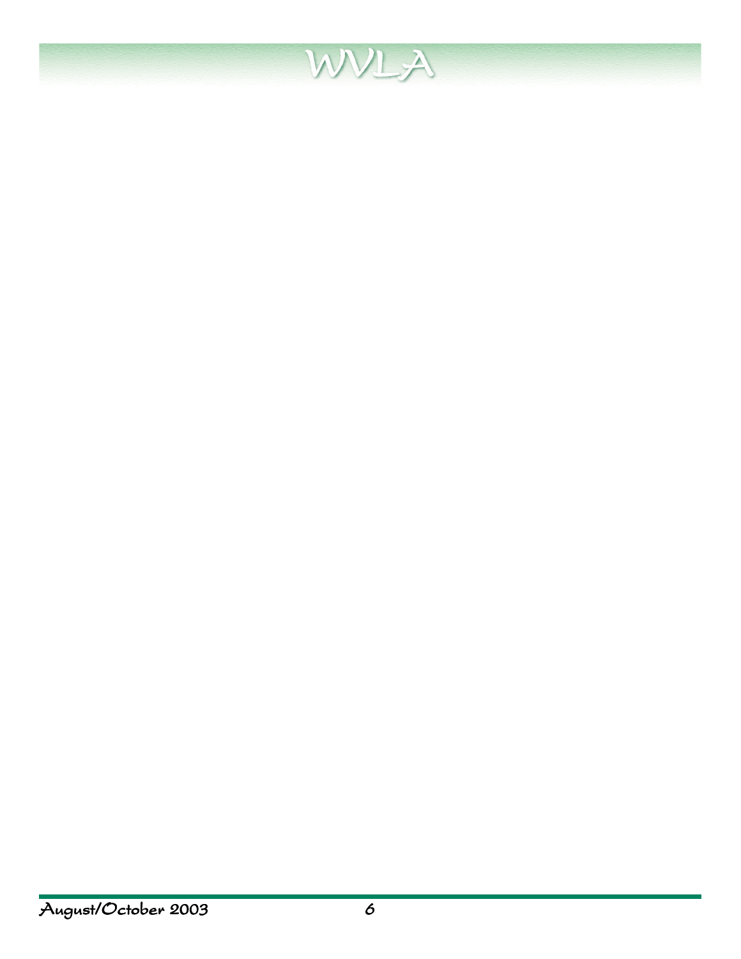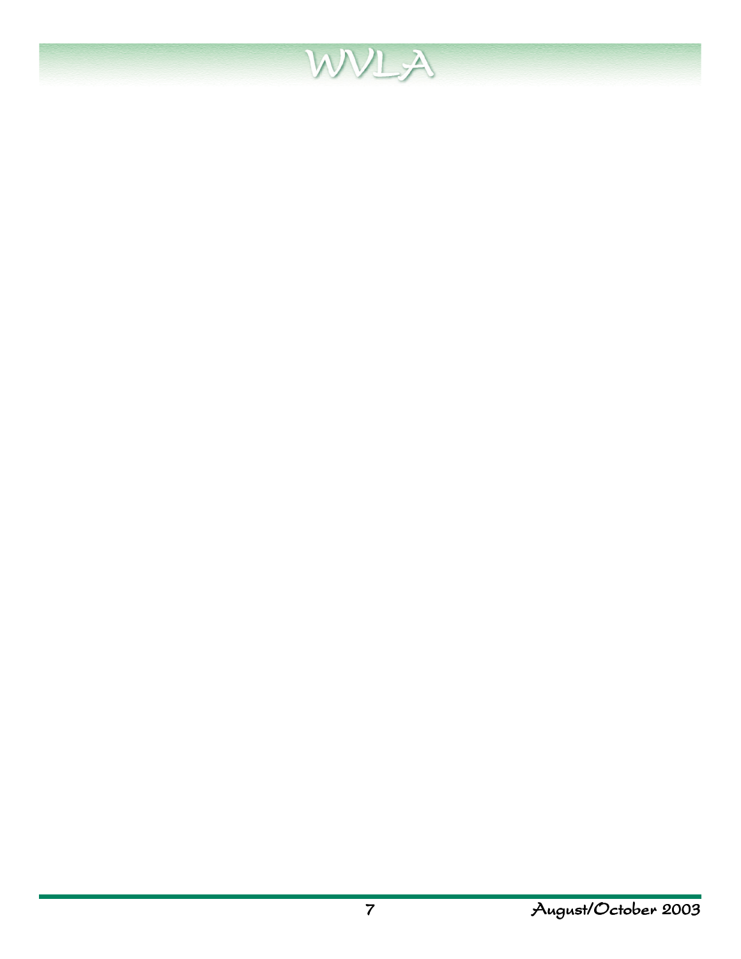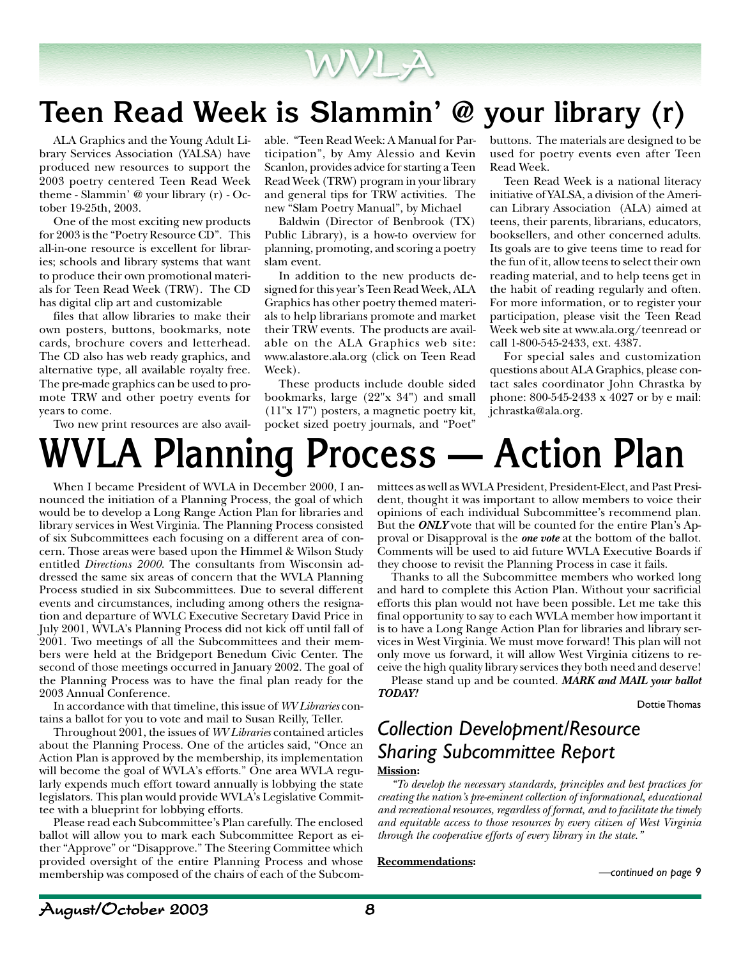

## **Teen Read Week is Slammin' @ your library (r)**

ALA Graphics and the Young Adult Library Services Association (YALSA) have produced new resources to support the 2003 poetry centered Teen Read Week theme - Slammin' @ your library (r) - October 19-25th, 2003.

One of the most exciting new products for 2003 is the "Poetry Resource CD". This all-in-one resource is excellent for libraries; schools and library systems that want to produce their own promotional materials for Teen Read Week (TRW). The CD has digital clip art and customizable

files that allow libraries to make their own posters, buttons, bookmarks, note cards, brochure covers and letterhead. The CD also has web ready graphics, and alternative type, all available royalty free. The pre-made graphics can be used to promote TRW and other poetry events for years to come.

Two new print resources are also avail-

able. "Teen Read Week: A Manual for Participation", by Amy Alessio and Kevin Scanlon, provides advice for starting a Teen Read Week (TRW) program in your library and general tips for TRW activities. The new "Slam Poetry Manual", by Michael

Baldwin (Director of Benbrook (TX) Public Library), is a how-to overview for planning, promoting, and scoring a poetry slam event.

In addition to the new products designed for this year's Teen Read Week, ALA Graphics has other poetry themed materials to help librarians promote and market their TRW events. The products are available on the ALA Graphics web site: www.alastore.ala.org (click on Teen Read Week).

These products include double sided bookmarks, large (22"x 34") and small (11"x 17") posters, a magnetic poetry kit, pocket sized poetry journals, and "Poet" buttons. The materials are designed to be used for poetry events even after Teen Read Week.

Teen Read Week is a national literacy initiative of YALSA, a division of the American Library Association (ALA) aimed at teens, their parents, librarians, educators, booksellers, and other concerned adults. Its goals are to give teens time to read for the fun of it, allow teens to select their own reading material, and to help teens get in the habit of reading regularly and often. For more information, or to register your participation, please visit the Teen Read Week web site at www.ala.org/teenread or call 1-800-545-2433, ext. 4387.

For special sales and customization questions about ALA Graphics, please contact sales coordinator John Chrastka by phone: 800-545-2433 x 4027 or by e mail: jchrastka@ala.org.

## **WVLA Planning Process — Action Plan**

When I became President of WVLA in December 2000, I announced the initiation of a Planning Process, the goal of which would be to develop a Long Range Action Plan for libraries and library services in West Virginia. The Planning Process consisted of six Subcommittees each focusing on a different area of concern. Those areas were based upon the Himmel & Wilson Study entitled *Directions 2000.* The consultants from Wisconsin addressed the same six areas of concern that the WVLA Planning Process studied in six Subcommittees. Due to several different events and circumstances, including among others the resignation and departure of WVLC Executive Secretary David Price in July 2001, WVLA's Planning Process did not kick off until fall of 2001. Two meetings of all the Subcommittees and their members were held at the Bridgeport Benedum Civic Center. The second of those meetings occurred in January 2002. The goal of the Planning Process was to have the final plan ready for the 2003 Annual Conference.

In accordance with that timeline, this issue of *WV Libraries* contains a ballot for you to vote and mail to Susan Reilly, Teller.

Throughout 2001, the issues of *WV Libraries* contained articles about the Planning Process. One of the articles said, "Once an Action Plan is approved by the membership, its implementation will become the goal of WVLA's efforts." One area WVLA regularly expends much effort toward annually is lobbying the state legislators. This plan would provide WVLA's Legislative Committee with a blueprint for lobbying efforts.

Please read each Subcommittee's Plan carefully. The enclosed ballot will allow you to mark each Subcommittee Report as either "Approve" or "Disapprove." The Steering Committee which provided oversight of the entire Planning Process and whose membership was composed of the chairs of each of the Subcommittees as well as WVLA President, President-Elect, and Past President, thought it was important to allow members to voice their opinions of each individual Subcommittee's recommend plan. But the *ONLY* vote that will be counted for the entire Plan's Approval or Disapproval is the *one vote* at the bottom of the ballot. Comments will be used to aid future WVLA Executive Boards if they choose to revisit the Planning Process in case it fails.

Thanks to all the Subcommittee members who worked long and hard to complete this Action Plan. Without your sacrificial efforts this plan would not have been possible. Let me take this final opportunity to say to each WVLA member how important it is to have a Long Range Action Plan for libraries and library services in West Virginia. We must move forward! This plan will not only move us forward, it will allow West Virginia citizens to receive the high quality library services they both need and deserve!

Please stand up and be counted. *MARK and MAIL your ballot TODAY!*

Dottie Thomas

#### *Collection Development/Resource Sharing Subcommittee Report* **Mission:**

*"To develop the necessary standards, principles and best practices for creating the nation's pre-eminent collection of informational, educational and recreational resources, regardless of format, and to facilitate the timely and equitable access to those resources by every citizen of West Virginia through the cooperative efforts of every library in the state."*

#### **Recommendations:**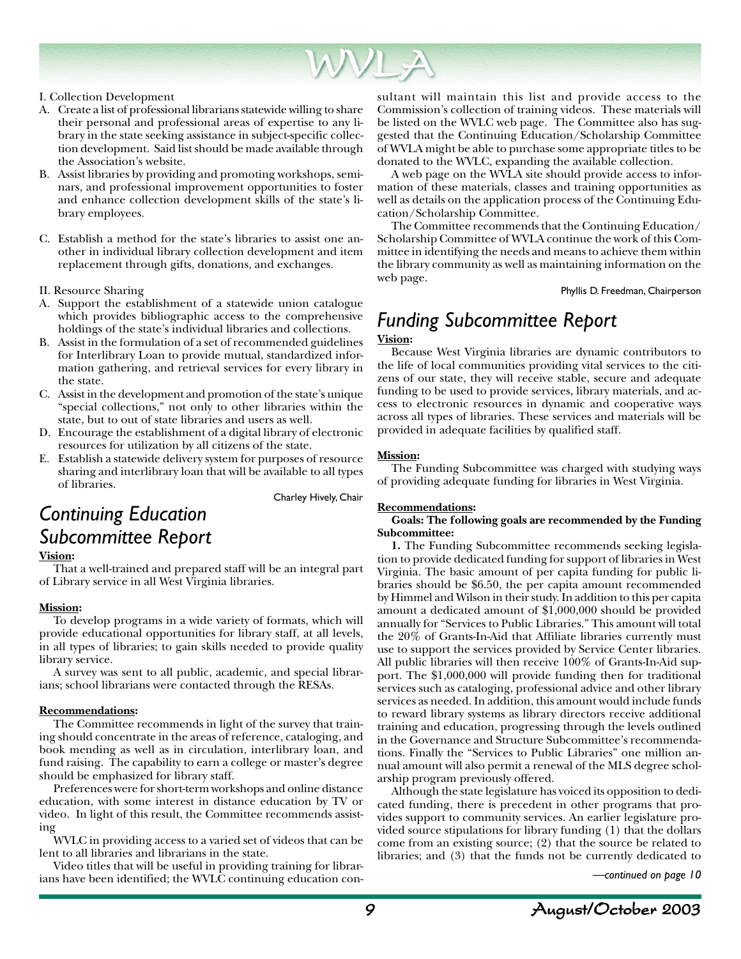

I. Collection Development

- A. Create a list of professional librarians statewide willing to share their personal and professional areas of expertise to any library in the state seeking assistance in subject-specific collection development. Said list should be made available through the Association's website.
- B. Assist libraries by providing and promoting workshops, seminars, and professional improvement opportunities to foster and enhance collection development skills of the state's library employees.
- C. Establish a method for the state's libraries to assist one another in individual library collection development and item replacement through gifts, donations, and exchanges.
- II. Resource Sharing
- A. Support the establishment of a statewide union catalogue which provides bibliographic access to the comprehensive holdings of the state's individual libraries and collections.
- B. Assist in the formulation of a set of recommended guidelines for Interlibrary Loan to provide mutual, standardized information gathering, and retrieval services for every library in the state.
- C. Assist in the development and promotion of the state's unique "special collections," not only to other libraries within the state, but to out of state libraries and users as well.
- D. Encourage the establishment of a digital library of electronic resources for utilization by all citizens of the state.
- E. Establish a statewide delivery system for purposes of resource sharing and interlibrary loan that will be available to all types of libraries.

Charley Hively, Chair

## *Continuing Education Subcommittee Report*

#### **Vision:**

That a well-trained and prepared staff will be an integral part of Library service in all West Virginia libraries.

#### **Mission:**

To develop programs in a wide variety of formats, which will provide educational opportunities for library staff, at all levels, in all types of libraries; to gain skills needed to provide quality library service.

A survey was sent to all public, academic, and special librarians; school librarians were contacted through the RESAs.

#### **Recommendations:**

The Committee recommends in light of the survey that training should concentrate in the areas of reference, cataloging, and book mending as well as in circulation, interlibrary loan, and fund raising. The capability to earn a college or master's degree should be emphasized for library staff.

Preferences were for short-term workshops and online distance education, with some interest in distance education by TV or video. In light of this result, the Committee recommends assisting

WVLC in providing access to a varied set of videos that can be lent to all libraries and librarians in the state.

Video titles that will be useful in providing training for librarians have been identified; the WVLC continuing education con-

sultant will maintain this list and provide access to the Commission's collection of training videos. These materials will be listed on the WVLC web page. The Committee also has suggested that the Continuing Education/Scholarship Committee of WVLA might be able to purchase some appropriate titles to be donated to the WVLC, expanding the available collection.

A web page on the WVLA site should provide access to information of these materials, classes and training opportunities as well as details on the application process of the Continuing Education/Scholarship Committee.

The Committee recommends that the Continuing Education/ Scholarship Committee of WVLA continue the work of this Committee in identifying the needs and means to achieve them within the library community as well as maintaining information on the web page.

Phyllis D. Freedman, Chairperson

### *Funding Subcommittee Report*

#### **Vision:**

Because West Virginia libraries are dynamic contributors to the life of local communities providing vital services to the citizens of our state, they will receive stable, secure and adequate funding to be used to provide services, library materials, and access to electronic resources in dynamic and cooperative ways across all types of libraries. These services and materials will be provided in adequate facilities by qualified staff.

#### **Mission:**

The Funding Subcommittee was charged with studying ways of providing adequate funding for libraries in West Virginia.

#### **Recommendations:**

#### **Goals: The following goals are recommended by the Funding Subcommittee:**

**1.** The Funding Subcommittee recommends seeking legislation to provide dedicated funding for support of libraries in West Virginia. The basic amount of per capita funding for public libraries should be \$6.50, the per capita amount recommended by Himmel and Wilson in their study. In addition to this per capita amount a dedicated amount of \$1,000,000 should be provided annually for "Services to Public Libraries." This amount will total the 20% of Grants-In-Aid that Affiliate libraries currently must use to support the services provided by Service Center libraries. All public libraries will then receive 100% of Grants-In-Aid support. The \$1,000,000 will provide funding then for traditional services such as cataloging, professional advice and other library services as needed. In addition, this amount would include funds to reward library systems as library directors receive additional training and education, progressing through the levels outlined in the Governance and Structure Subcommittee's recommendations. Finally the "Services to Public Libraries" one million annual amount will also permit a renewal of the MLS degree scholarship program previously offered.

Although the state legislature has voiced its opposition to dedicated funding, there is precedent in other programs that provides support to community services. An earlier legislature provided source stipulations for library funding (1) that the dollars come from an existing source; (2) that the source be related to libraries; and (3) that the funds not be currently dedicated to

*—continued on page 10*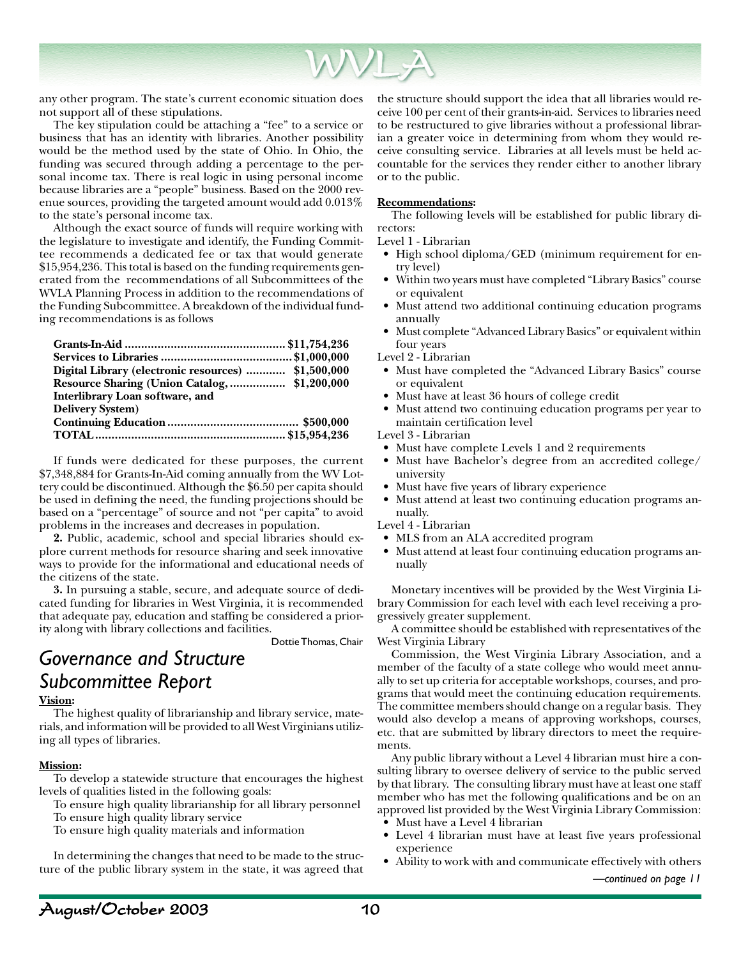

any other program. The state's current economic situation does not support all of these stipulations.

The key stipulation could be attaching a "fee" to a service or business that has an identity with libraries. Another possibility would be the method used by the state of Ohio. In Ohio, the funding was secured through adding a percentage to the personal income tax. There is real logic in using personal income because libraries are a "people" business. Based on the 2000 revenue sources, providing the targeted amount would add 0.013% to the state's personal income tax.

Although the exact source of funds will require working with the legislature to investigate and identify, the Funding Committee recommends a dedicated fee or tax that would generate \$15,954,236. This total is based on the funding requirements generated from the recommendations of all Subcommittees of the WVLA Planning Process in addition to the recommendations of the Funding Subcommittee. A breakdown of the individual funding recommendations is as follows

| Digital Library (electronic resources)  \$1,500,000 |  |
|-----------------------------------------------------|--|
|                                                     |  |
| Interlibrary Loan software, and                     |  |
| <b>Delivery System)</b>                             |  |
|                                                     |  |
|                                                     |  |

If funds were dedicated for these purposes, the current \$7,348,884 for Grants-In-Aid coming annually from the WV Lottery could be discontinued. Although the \$6.50 per capita should be used in defining the need, the funding projections should be based on a "percentage" of source and not "per capita" to avoid problems in the increases and decreases in population.

**2.** Public, academic, school and special libraries should explore current methods for resource sharing and seek innovative ways to provide for the informational and educational needs of the citizens of the state.

**3.** In pursuing a stable, secure, and adequate source of dedicated funding for libraries in West Virginia, it is recommended that adequate pay, education and staffing be considered a priority along with library collections and facilities.

Dottie Thomas, Chair

## *Governance and Structure Subcommittee Report*

#### **Vision:**

The highest quality of librarianship and library service, materials, and information will be provided to all West Virginians utilizing all types of libraries.

#### **Mission:**

To develop a statewide structure that encourages the highest levels of qualities listed in the following goals:

To ensure high quality librarianship for all library personnel To ensure high quality library service

To ensure high quality materials and information

In determining the changes that need to be made to the structure of the public library system in the state, it was agreed that the structure should support the idea that all libraries would receive 100 per cent of their grants-in-aid. Services to libraries need to be restructured to give libraries without a professional librarian a greater voice in determining from whom they would receive consulting service. Libraries at all levels must be held accountable for the services they render either to another library or to the public.

#### **Recommendations:**

The following levels will be established for public library directors:

Level 1 - Librarian

- High school diploma/GED (minimum requirement for entry level)
- Within two years must have completed "Library Basics" course or equivalent
- Must attend two additional continuing education programs annually
- Must complete "Advanced Library Basics" or equivalent within four years

Level 2 - Librarian

- Must have completed the "Advanced Library Basics" course or equivalent
- Must have at least 36 hours of college credit
- Must attend two continuing education programs per year to maintain certification level

Level 3 - Librarian

- Must have complete Levels 1 and 2 requirements
- Must have Bachelor's degree from an accredited college/ university
- Must have five years of library experience
- Must attend at least two continuing education programs annually.

Level 4 - Librarian

- MLS from an ALA accredited program
- Must attend at least four continuing education programs annually

Monetary incentives will be provided by the West Virginia Library Commission for each level with each level receiving a progressively greater supplement.

A committee should be established with representatives of the West Virginia Library

Commission, the West Virginia Library Association, and a member of the faculty of a state college who would meet annually to set up criteria for acceptable workshops, courses, and programs that would meet the continuing education requirements. The committee members should change on a regular basis. They would also develop a means of approving workshops, courses, etc. that are submitted by library directors to meet the requirements.

Any public library without a Level 4 librarian must hire a consulting library to oversee delivery of service to the public served by that library. The consulting library must have at least one staff member who has met the following qualifications and be on an approved list provided by the West Virginia Library Commission:

- Must have a Level 4 librarian
- Level 4 librarian must have at least five years professional experience
- Ability to work with and communicate effectively with others

*<sup>—</sup>continued on page 11*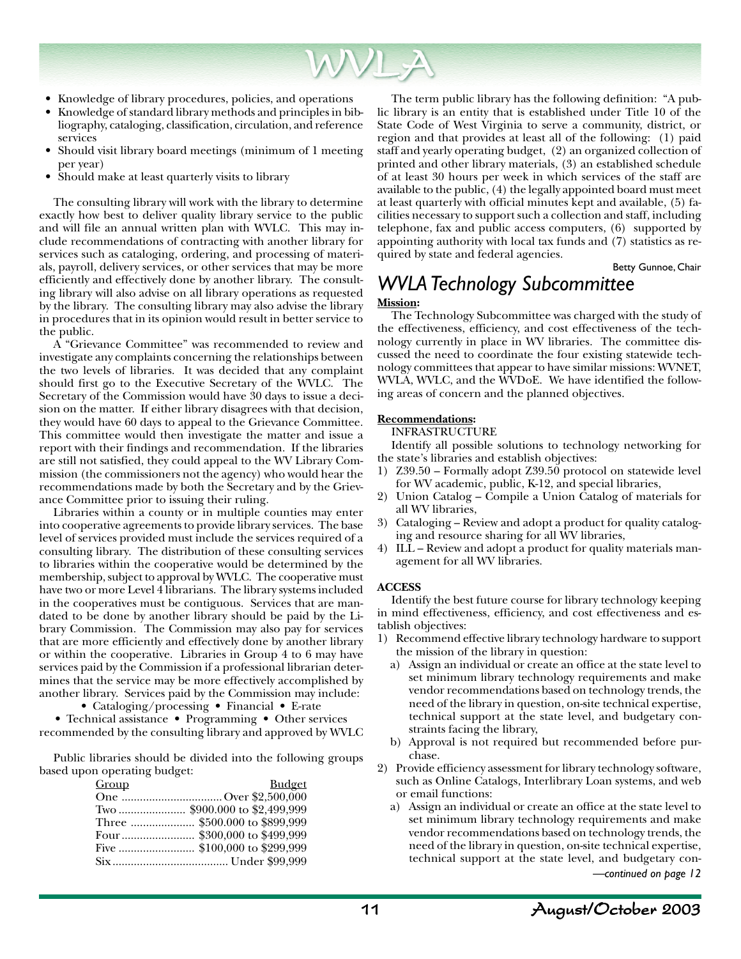

- Knowledge of library procedures, policies, and operations
- Knowledge of standard library methods and principles in bibliography, cataloging, classification, circulation, and reference services
- Should visit library board meetings (minimum of 1 meeting per year)
- Should make at least quarterly visits to library

The consulting library will work with the library to determine exactly how best to deliver quality library service to the public and will file an annual written plan with WVLC. This may include recommendations of contracting with another library for services such as cataloging, ordering, and processing of materials, payroll, delivery services, or other services that may be more efficiently and effectively done by another library. The consulting library will also advise on all library operations as requested by the library. The consulting library may also advise the library in procedures that in its opinion would result in better service to the public.

A "Grievance Committee" was recommended to review and investigate any complaints concerning the relationships between the two levels of libraries. It was decided that any complaint should first go to the Executive Secretary of the WVLC. The Secretary of the Commission would have 30 days to issue a decision on the matter. If either library disagrees with that decision, they would have 60 days to appeal to the Grievance Committee. This committee would then investigate the matter and issue a report with their findings and recommendation. If the libraries are still not satisfied, they could appeal to the WV Library Commission (the commissioners not the agency) who would hear the recommendations made by both the Secretary and by the Grievance Committee prior to issuing their ruling.

Libraries within a county or in multiple counties may enter into cooperative agreements to provide library services. The base level of services provided must include the services required of a consulting library. The distribution of these consulting services to libraries within the cooperative would be determined by the membership, subject to approval by WVLC. The cooperative must have two or more Level 4 librarians. The library systems included in the cooperatives must be contiguous. Services that are mandated to be done by another library should be paid by the Library Commission. The Commission may also pay for services that are more efficiently and effectively done by another library or within the cooperative. Libraries in Group 4 to 6 may have services paid by the Commission if a professional librarian determines that the service may be more effectively accomplished by another library. Services paid by the Commission may include:

• Cataloging/processing • Financial • E-rate

• Technical assistance • Programming • Other services recommended by the consulting library and approved by WVLC

Public libraries should be divided into the following groups based upon operating budget:

| Group | <b>Budget</b>                 |
|-------|-------------------------------|
|       | One Over \$2,500,000          |
|       | Two  \$900.000 to \$2,499,999 |
|       | Three  \$500.000 to \$899.999 |
|       |                               |
|       |                               |
|       |                               |

The term public library has the following definition: "A public library is an entity that is established under Title 10 of the State Code of West Virginia to serve a community, district, or region and that provides at least all of the following: (1) paid staff and yearly operating budget, (2) an organized collection of printed and other library materials, (3) an established schedule of at least 30 hours per week in which services of the staff are available to the public, (4) the legally appointed board must meet at least quarterly with official minutes kept and available, (5) facilities necessary to support such a collection and staff, including telephone, fax and public access computers, (6) supported by appointing authority with local tax funds and (7) statistics as required by state and federal agencies.

Betty Gunnoe, Chair

## *WVLA Technology Subcommittee*

#### **Mission:**

The Technology Subcommittee was charged with the study of the effectiveness, efficiency, and cost effectiveness of the technology currently in place in WV libraries. The committee discussed the need to coordinate the four existing statewide technology committees that appear to have similar missions: WVNET, WVLA, WVLC, and the WVDoE. We have identified the following areas of concern and the planned objectives.

#### **Recommendations:**

INFRASTRUCTURE

Identify all possible solutions to technology networking for the state's libraries and establish objectives:

- 1) Z39.50 Formally adopt Z39.50 protocol on statewide level for WV academic, public, K-12, and special libraries,
- 2) Union Catalog Compile a Union Catalog of materials for all WV libraries,
- 3) Cataloging Review and adopt a product for quality cataloging and resource sharing for all WV libraries,
- 4) ILL Review and adopt a product for quality materials management for all WV libraries.

#### **ACCESS**

Identify the best future course for library technology keeping in mind effectiveness, efficiency, and cost effectiveness and establish objectives:

- 1) Recommend effective library technology hardware to support the mission of the library in question:
	- a) Assign an individual or create an office at the state level to set minimum library technology requirements and make vendor recommendations based on technology trends, the need of the library in question, on-site technical expertise, technical support at the state level, and budgetary constraints facing the library,
	- b) Approval is not required but recommended before purchase.
- 2) Provide efficiency assessment for library technology software, such as Online Catalogs, Interlibrary Loan systems, and web or email functions:
	- a) Assign an individual or create an office at the state level to set minimum library technology requirements and make vendor recommendations based on technology trends, the need of the library in question, on-site technical expertise, technical support at the state level, and budgetary con- *—continued on page 12*

11 August/October 2003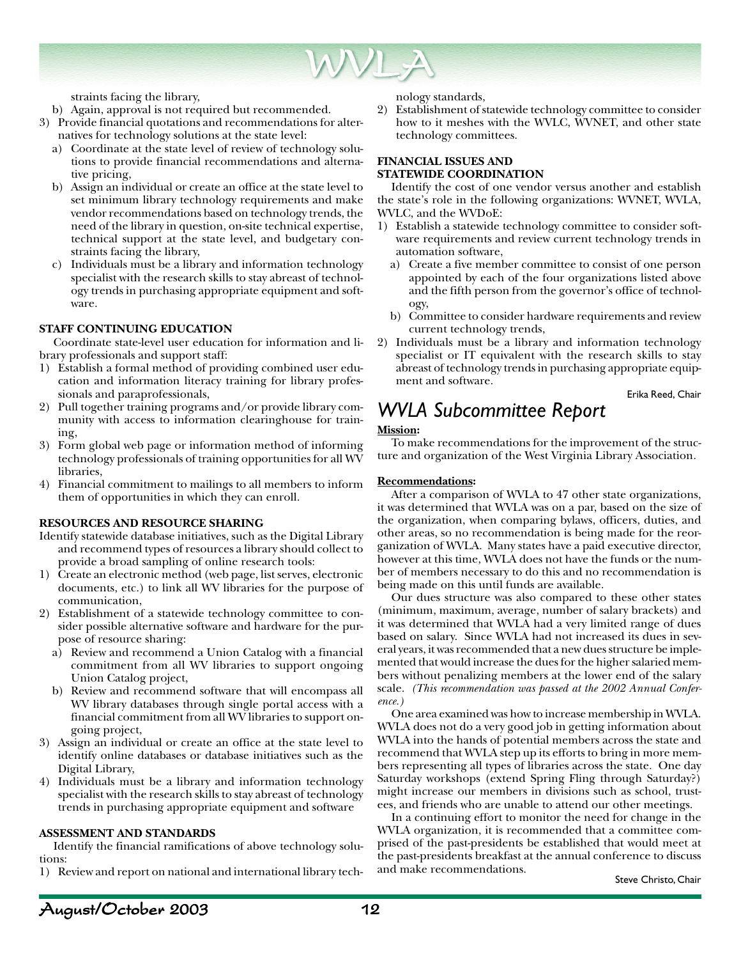

straints facing the library,

- b) Again, approval is not required but recommended.
- 3) Provide financial quotations and recommendations for alternatives for technology solutions at the state level:
	- a) Coordinate at the state level of review of technology solutions to provide financial recommendations and alternative pricing,
	- b) Assign an individual or create an office at the state level to set minimum library technology requirements and make vendor recommendations based on technology trends, the need of the library in question, on-site technical expertise, technical support at the state level, and budgetary constraints facing the library,
	- c) Individuals must be a library and information technology specialist with the research skills to stay abreast of technology trends in purchasing appropriate equipment and software.

#### **STAFF CONTINUING EDUCATION**

Coordinate state-level user education for information and library professionals and support staff:

- 1) Establish a formal method of providing combined user education and information literacy training for library professionals and paraprofessionals,
- 2) Pull together training programs and/or provide library community with access to information clearinghouse for training,
- 3) Form global web page or information method of informing technology professionals of training opportunities for all WV libraries,
- 4) Financial commitment to mailings to all members to inform them of opportunities in which they can enroll.

#### **RESOURCES AND RESOURCE SHARING**

- Identify statewide database initiatives, such as the Digital Library and recommend types of resources a library should collect to provide a broad sampling of online research tools:
- 1) Create an electronic method (web page, list serves, electronic documents, etc.) to link all WV libraries for the purpose of communication,
- 2) Establishment of a statewide technology committee to consider possible alternative software and hardware for the purpose of resource sharing:
	- a) Review and recommend a Union Catalog with a financial commitment from all WV libraries to support ongoing Union Catalog project,
	- b) Review and recommend software that will encompass all WV library databases through single portal access with a financial commitment from all WV libraries to support ongoing project,
- 3) Assign an individual or create an office at the state level to identify online databases or database initiatives such as the Digital Library,
- 4) Individuals must be a library and information technology specialist with the research skills to stay abreast of technology trends in purchasing appropriate equipment and software

#### **ASSESSMENT AND STANDARDS**

Identify the financial ramifications of above technology solutions:

1) Review and report on national and international library tech-

nology standards,

2) Establishment of statewide technology committee to consider how to it meshes with the WVLC, WVNET, and other state technology committees.

#### **FINANCIAL ISSUES AND STATEWIDE COORDINATION**

Identify the cost of one vendor versus another and establish the state's role in the following organizations: WVNET, WVLA, WVLC, and the WVDoE:

- 1) Establish a statewide technology committee to consider software requirements and review current technology trends in automation software,
	- a) Create a five member committee to consist of one person appointed by each of the four organizations listed above and the fifth person from the governor's office of technology,
	- b) Committee to consider hardware requirements and review current technology trends,
- 2) Individuals must be a library and information technology specialist or IT equivalent with the research skills to stay abreast of technology trends in purchasing appropriate equipment and software.

Erika Reed, Chair

### *WVLA Subcommittee Report*

#### **Mission:**

To make recommendations for the improvement of the structure and organization of the West Virginia Library Association.

#### **Recommendations:**

After a comparison of WVLA to 47 other state organizations, it was determined that WVLA was on a par, based on the size of the organization, when comparing bylaws, officers, duties, and other areas, so no recommendation is being made for the reorganization of WVLA. Many states have a paid executive director, however at this time, WVLA does not have the funds or the number of members necessary to do this and no recommendation is being made on this until funds are available.

Our dues structure was also compared to these other states (minimum, maximum, average, number of salary brackets) and it was determined that WVLA had a very limited range of dues based on salary. Since WVLA had not increased its dues in several years, it was recommended that a new dues structure be implemented that would increase the dues for the higher salaried members without penalizing members at the lower end of the salary scale. *(This recommendation was passed at the 2002 Annual Conference.)*

One area examined was how to increase membership in WVLA. WVLA does not do a very good job in getting information about WVLA into the hands of potential members across the state and recommend that WVLA step up its efforts to bring in more members representing all types of libraries across the state. One day Saturday workshops (extend Spring Fling through Saturday?) might increase our members in divisions such as school, trustees, and friends who are unable to attend our other meetings.

In a continuing effort to monitor the need for change in the WVLA organization, it is recommended that a committee comprised of the past-presidents be established that would meet at the past-presidents breakfast at the annual conference to discuss and make recommendations.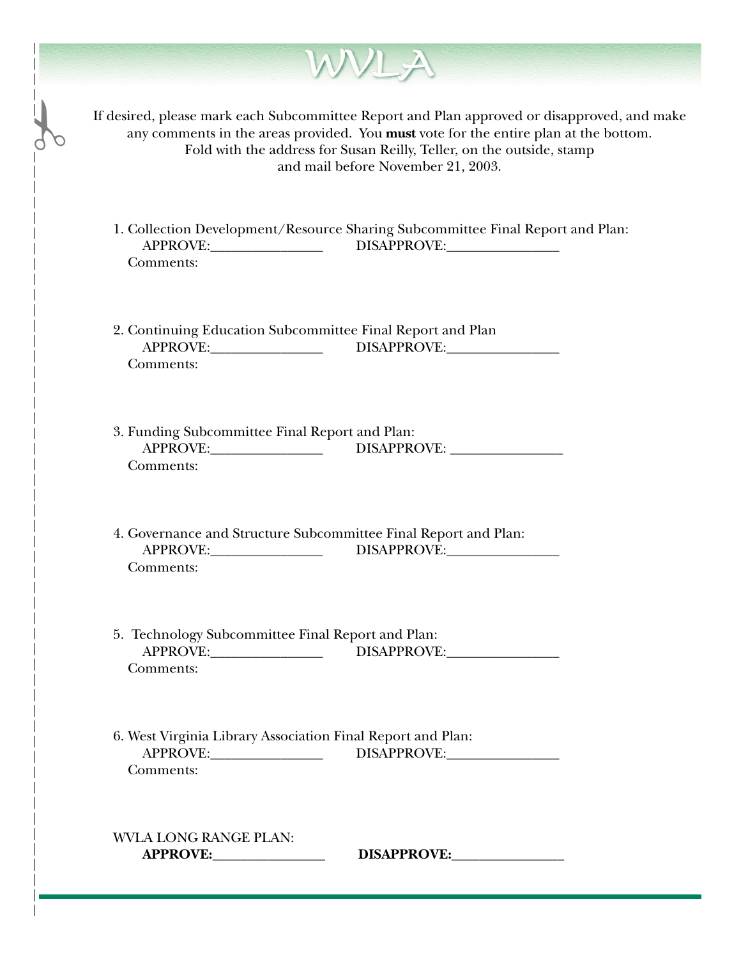| Ш | 90 | If desired, please mark each Subcommittee Report and Plan approved or disapproved, and make<br>any comments in the areas provided. You <b>must</b> vote for the entire plan at the bottom.<br>Fold with the address for Susan Reilly, Teller, on the outside, stamp |
|---|----|---------------------------------------------------------------------------------------------------------------------------------------------------------------------------------------------------------------------------------------------------------------------|
|   |    |                                                                                                                                                                                                                                                                     |
|   |    | and mail before November 21, 2003.                                                                                                                                                                                                                                  |

- 1. Collection Development/Resource Sharing Subcommittee Final Report and Plan: APPROVE:\_\_\_\_\_\_\_\_\_\_\_\_\_\_\_\_\_\_\_\_\_\_\_\_\_\_\_\_\_\_\_\_\_\_DISAPPROVE:\_\_\_\_\_\_\_\_\_\_\_\_\_\_\_\_\_\_\_\_\_\_\_\_\_\_\_ Comments:
- 2. Continuing Education Subcommittee Final Report and Plan APPROVE:\_\_\_\_\_\_\_\_\_\_\_\_\_\_\_\_ DISAPPROVE:\_\_\_\_\_\_\_\_\_\_\_\_\_\_\_\_ Comments:
- 3. Funding Subcommittee Final Report and Plan: APPROVE:\_\_\_\_\_\_\_\_\_\_\_\_\_\_\_\_ DISAPPROVE: \_\_\_\_\_\_\_\_\_\_\_\_\_\_\_\_ Comments:
- 4. Governance and Structure Subcommittee Final Report and Plan: APPROVE:\_\_\_\_\_\_\_\_\_\_\_\_\_\_\_\_\_\_\_\_\_\_\_\_\_\_\_\_\_\_\_\_\_\_DISAPPROVE:\_\_\_\_\_\_\_\_\_\_\_\_\_\_\_\_\_\_\_\_\_\_\_\_\_\_\_ Comments:
- 5. Technology Subcommittee Final Report and Plan: APPROVE:\_\_\_\_\_\_\_\_\_\_\_\_\_\_\_\_\_\_\_\_\_\_\_\_\_\_\_\_\_\_\_\_\_\_DISAPPROVE:\_\_\_\_\_\_\_\_\_\_\_\_\_\_\_\_\_\_\_\_\_\_\_\_\_\_\_ Comments:
- 6. West Virginia Library Association Final Report and Plan: APPROVE:\_\_\_\_\_\_\_\_\_\_\_\_\_\_\_\_\_\_\_\_\_\_\_\_\_\_\_\_\_\_\_\_\_\_\_DISAPPROVE:\_\_\_\_\_\_\_\_\_\_\_\_\_\_\_\_\_\_\_\_\_\_\_\_\_\_ Comments:

WVLA LONG RANGE PLAN: **APPROVE:**\_\_\_\_\_\_\_\_\_\_\_\_\_\_\_\_ **DISAPPROVE:**\_\_\_\_\_\_\_\_\_\_\_\_\_\_\_\_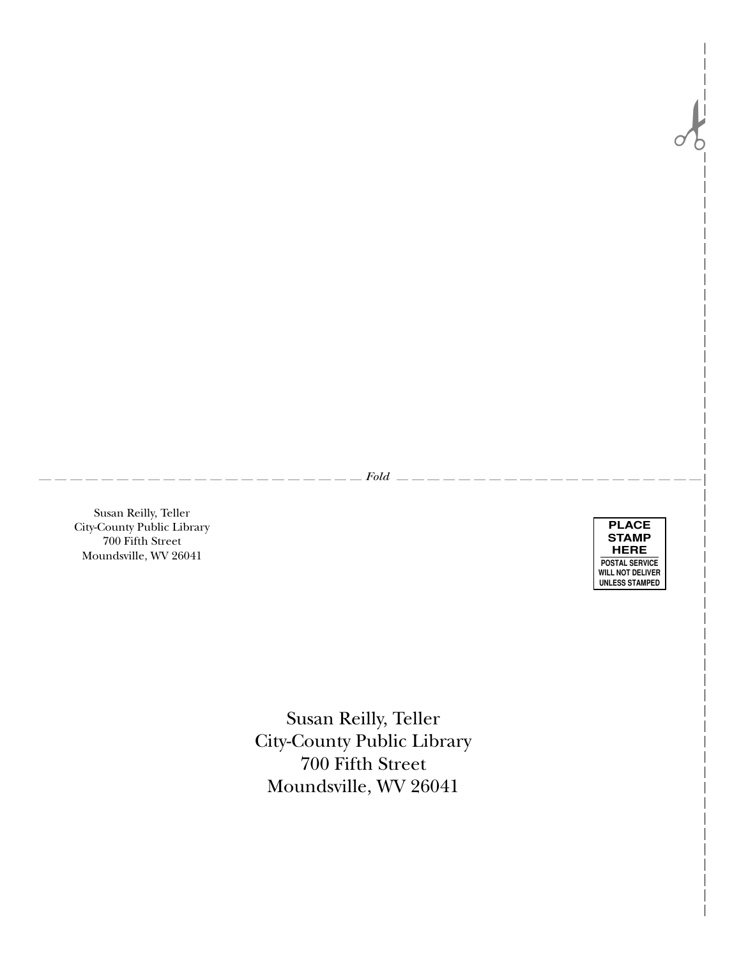*Fold*

Susan Reilly, Teller City-County Public Library 700 Fifth Street Moundsville, WV 26041

**PLACE STAMP HERE POSTAL SERVICE WILL NOT DELIVER UNLESS STAMPED**

✃

Susan Reilly, Teller City-County Public Library 700 Fifth Street Moundsville, WV 26041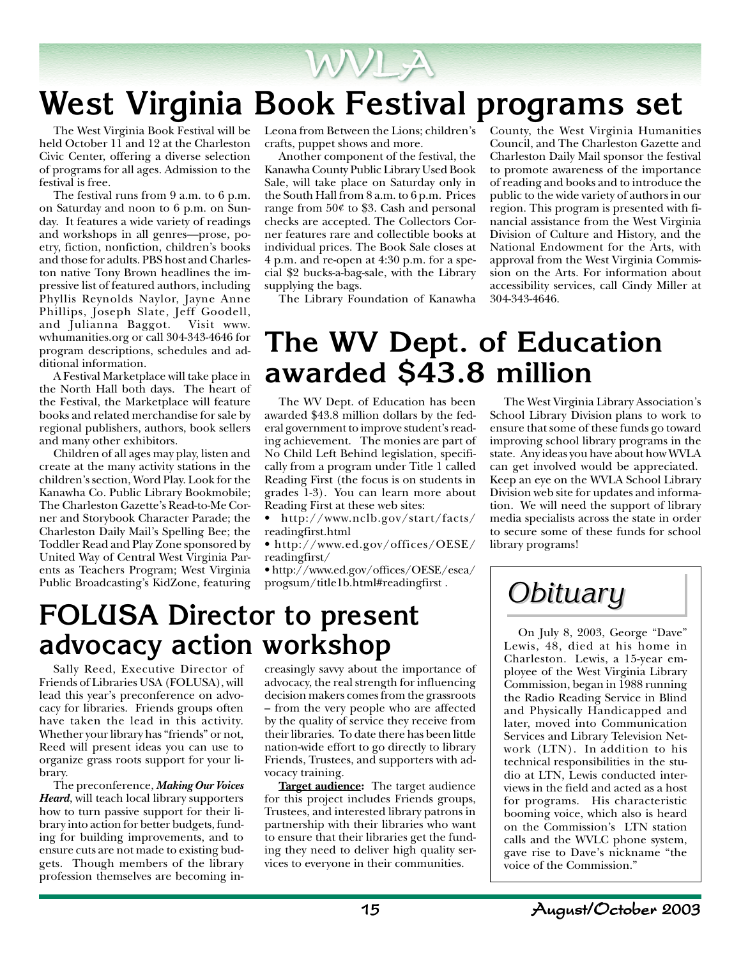

## **West Virginia Book Festival programs set**

The West Virginia Book Festival will be held October 11 and 12 at the Charleston Civic Center, offering a diverse selection of programs for all ages. Admission to the festival is free.

The festival runs from 9 a.m. to 6 p.m. on Saturday and noon to 6 p.m. on Sunday. It features a wide variety of readings and workshops in all genres—prose, poetry, fiction, nonfiction, children's books and those for adults. PBS host and Charleston native Tony Brown headlines the impressive list of featured authors, including Phyllis Reynolds Naylor, Jayne Anne Phillips, Joseph Slate, Jeff Goodell, and Julianna Baggot. Visit www. wvhumanities.org or call 304-343-4646 for program descriptions, schedules and additional information.

A Festival Marketplace will take place in the North Hall both days. The heart of the Festival, the Marketplace will feature books and related merchandise for sale by regional publishers, authors, book sellers and many other exhibitors.

Children of all ages may play, listen and create at the many activity stations in the children's section, Word Play. Look for the Kanawha Co. Public Library Bookmobile; The Charleston Gazette's Read-to-Me Corner and Storybook Character Parade; the Charleston Daily Mail's Spelling Bee; the Toddler Read and Play Zone sponsored by United Way of Central West Virginia Parents as Teachers Program; West Virginia Public Broadcasting's KidZone, featuring Leona from Between the Lions; children's crafts, puppet shows and more.

Another component of the festival, the Kanawha County Public Library Used Book Sale, will take place on Saturday only in the South Hall from 8 a.m. to 6 p.m. Prices range from 50¢ to \$3. Cash and personal checks are accepted. The Collectors Corner features rare and collectible books at individual prices. The Book Sale closes at 4 p.m. and re-open at 4:30 p.m. for a special \$2 bucks-a-bag-sale, with the Library supplying the bags.

The Library Foundation of Kanawha

County, the West Virginia Humanities Council, and The Charleston Gazette and Charleston Daily Mail sponsor the festival to promote awareness of the importance of reading and books and to introduce the public to the wide variety of authors in our region. This program is presented with financial assistance from the West Virginia Division of Culture and History, and the National Endowment for the Arts, with approval from the West Virginia Commission on the Arts. For information about accessibility services, call Cindy Miller at 304-343-4646.

## **The WV Dept. of Education awarded \$43.8 million**

The WV Dept. of Education has been awarded \$43.8 million dollars by the federal government to improve student's reading achievement. The monies are part of No Child Left Behind legislation, specifically from a program under Title 1 called Reading First (the focus is on students in grades 1-3). You can learn more about Reading First at these web sites:

• http://www.nclb.gov/start/facts/ readingfirst.html

• http://www.ed.gov/offices/OESE/ readingfirst/

• http://www.ed.gov/offices/OESE/esea/ progsum/title1b.html#readingfirst .

## **FOLUSA Director to present advocacy action workshop**

Sally Reed, Executive Director of Friends of Libraries USA (FOLUSA), will lead this year's preconference on advocacy for libraries. Friends groups often have taken the lead in this activity. Whether your library has "friends" or not, Reed will present ideas you can use to organize grass roots support for your library.

The preconference, *Making Our Voices Heard*, will teach local library supporters how to turn passive support for their library into action for better budgets, funding for building improvements, and to ensure cuts are not made to existing budgets. Though members of the library profession themselves are becoming increasingly savvy about the importance of advocacy, the real strength for influencing decision makers comes from the grassroots – from the very people who are affected by the quality of service they receive from their libraries. To date there has been little nation-wide effort to go directly to library Friends, Trustees, and supporters with advocacy training.

**Target audience:** The target audience for this project includes Friends groups, Trustees, and interested library patrons in partnership with their libraries who want to ensure that their libraries get the funding they need to deliver high quality services to everyone in their communities.

The West Virginia Library Association's School Library Division plans to work to ensure that some of these funds go toward improving school library programs in the state. Any ideas you have about how WVLA can get involved would be appreciated. Keep an eye on the WVLA School Library Division web site for updates and information. We will need the support of library media specialists across the state in order to secure some of these funds for school library programs!



On July 8, 2003, George "Dave" Lewis, 48, died at his home in Charleston. Lewis, a 15-year employee of the West Virginia Library Commission, began in 1988 running the Radio Reading Service in Blind and Physically Handicapped and later, moved into Communication Services and Library Television Network (LTN). In addition to his technical responsibilities in the studio at LTN, Lewis conducted interviews in the field and acted as a host for programs. His characteristic booming voice, which also is heard on the Commission's LTN station calls and the WVLC phone system, gave rise to Dave's nickname "the voice of the Commission."

15 August/October 2003